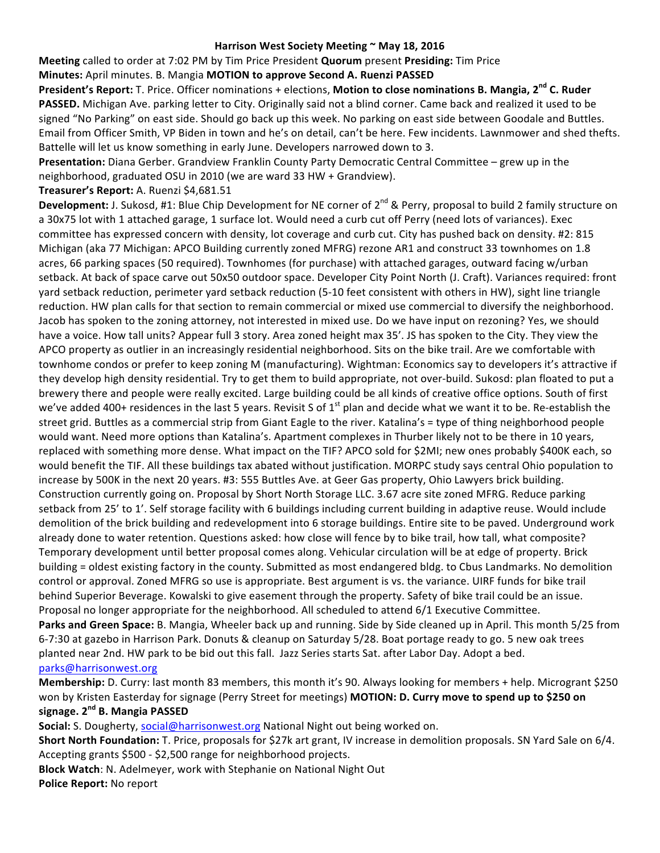#### Harrison West Society Meeting ~ May 18, 2016

**Meeting** called to order at 7:02 PM by Tim Price President **Quorum** present Presiding: Tim Price

### **Minutes:** April minutes. B. Mangia **MOTION to approve Second A. Ruenzi PASSED**

**President's Report:** T. Price. Officer nominations + elections, Motion to close nominations B. Mangia, 2<sup>nd</sup> C. Ruder **PASSED.** Michigan Ave. parking letter to City. Originally said not a blind corner. Came back and realized it used to be signed "No Parking" on east side. Should go back up this week. No parking on east side between Goodale and Buttles. Email from Officer Smith, VP Biden in town and he's on detail, can't be here. Few incidents. Lawnmower and shed thefts. Battelle will let us know something in early June. Developers narrowed down to 3.

**Presentation:** Diana Gerber. Grandview Franklin County Party Democratic Central Committee – grew up in the neighborhood, graduated OSU in 2010 (we are ward 33 HW + Grandview).

#### Treasurer's Report: A. Ruenzi \$4,681.51

**Development:** J. Sukosd, #1: Blue Chip Development for NE corner of 2<sup>nd</sup> & Perry, proposal to build 2 family structure on a 30x75 lot with 1 attached garage, 1 surface lot. Would need a curb cut off Perry (need lots of variances). Exec committee has expressed concern with density, lot coverage and curb cut. City has pushed back on density. #2: 815 Michigan (aka 77 Michigan: APCO Building currently zoned MFRG) rezone AR1 and construct 33 townhomes on 1.8 acres, 66 parking spaces (50 required). Townhomes (for purchase) with attached garages, outward facing w/urban setback. At back of space carve out 50x50 outdoor space. Developer City Point North (J. Craft). Variances required: front yard setback reduction, perimeter yard setback reduction (5-10 feet consistent with others in HW), sight line triangle reduction. HW plan calls for that section to remain commercial or mixed use commercial to diversify the neighborhood. Jacob has spoken to the zoning attorney, not interested in mixed use. Do we have input on rezoning? Yes, we should have a voice. How tall units? Appear full 3 story. Area zoned height max 35'. JS has spoken to the City. They view the APCO property as outlier in an increasingly residential neighborhood. Sits on the bike trail. Are we comfortable with townhome condos or prefer to keep zoning M (manufacturing). Wightman: Economics say to developers it's attractive if they develop high density residential. Try to get them to build appropriate, not over-build. Sukosd: plan floated to put a brewery there and people were really excited. Large building could be all kinds of creative office options. South of first we've added 400+ residences in the last 5 years. Revisit S of  $1^{st}$  plan and decide what we want it to be. Re-establish the street grid. Buttles as a commercial strip from Giant Eagle to the river. Katalina's = type of thing neighborhood people would want. Need more options than Katalina's. Apartment complexes in Thurber likely not to be there in 10 years, replaced with something more dense. What impact on the TIF? APCO sold for \$2MI; new ones probably \$400K each, so would benefit the TIF. All these buildings tax abated without justification. MORPC study says central Ohio population to increase by 500K in the next 20 years. #3: 555 Buttles Ave. at Geer Gas property, Ohio Lawyers brick building. Construction currently going on. Proposal by Short North Storage LLC. 3.67 acre site zoned MFRG. Reduce parking setback from 25' to 1'. Self storage facility with 6 buildings including current building in adaptive reuse. Would include demolition of the brick building and redevelopment into 6 storage buildings. Entire site to be paved. Underground work already done to water retention. Questions asked: how close will fence by to bike trail, how tall, what composite? Temporary development until better proposal comes along. Vehicular circulation will be at edge of property. Brick building = oldest existing factory in the county. Submitted as most endangered bldg. to Cbus Landmarks. No demolition control or approval. Zoned MFRG so use is appropriate. Best argument is vs. the variance. UIRF funds for bike trail behind Superior Beverage. Kowalski to give easement through the property. Safety of bike trail could be an issue. Proposal no longer appropriate for the neighborhood. All scheduled to attend 6/1 Executive Committee. **Parks and Green Space:** B. Mangia, Wheeler back up and running. Side by Side cleaned up in April. This month 5/25 from 6-7:30 at gazebo in Harrison Park. Donuts & cleanup on Saturday 5/28. Boat portage ready to go. 5 new oak trees planted near 2nd. HW park to be bid out this fall. Jazz Series starts Sat. after Labor Day. Adopt a bed. parks@harrisonwest.org

**Membership:** D. Curry: last month 83 members, this month it's 90. Always looking for members + help. Microgrant \$250 won by Kristen Easterday for signage (Perry Street for meetings) MOTION: D. Curry move to spend up to \$250 on **signage. 2nd B. Mangia PASSED**

**Social:** S. Dougherty, social@harrisonwest.org National Night out being worked on.

**Short North Foundation:** T. Price, proposals for \$27k art grant, IV increase in demolition proposals. SN Yard Sale on 6/4. Accepting grants \$500 - \$2,500 range for neighborhood projects.

**Block Watch**: N. Adelmeyer, work with Stephanie on National Night Out **Police Report:** No report